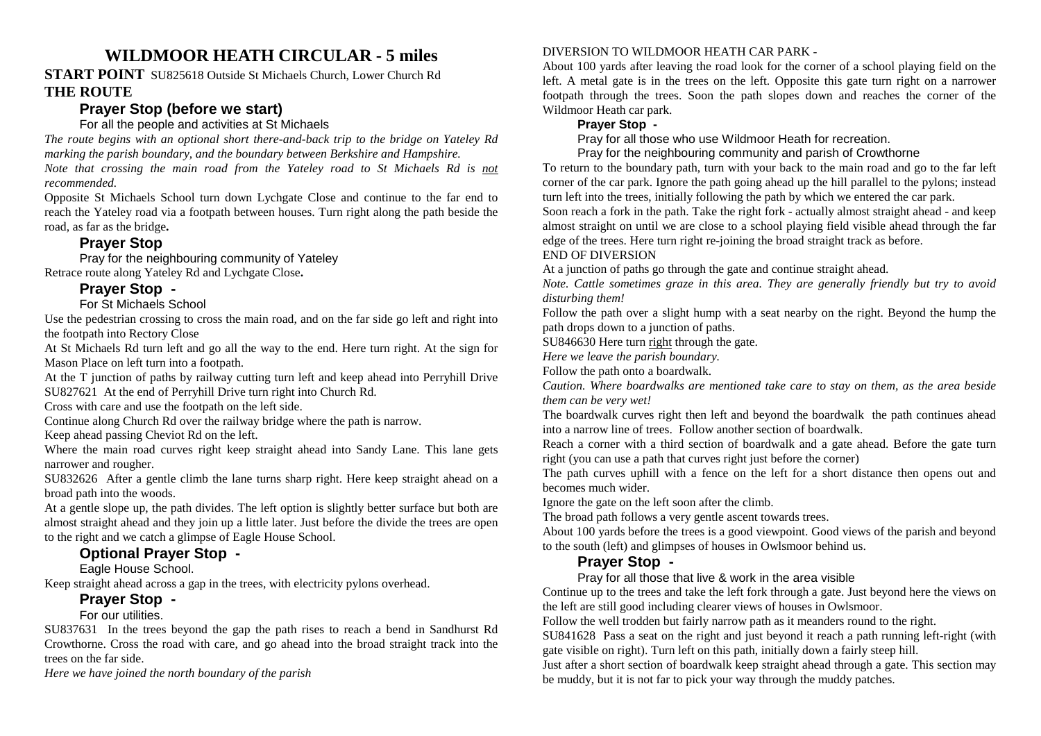# **WILDMOOR HEATH CIRCULAR - 5 miles**

#### **START POINT** SU825618 Outside St Michaels Church, Lower Church Rd **THE ROUTE**

# **Prayer Stop (before we start)**

### For all the people and activities at St Michaels

 *The route begins with an optional short there-and-back trip to the bridge on Yateley Rd marking the parish boundary, and the boundary between Berkshire and Hampshire.* 

*Note that crossing the main road from the Yateley road to St Michaels Rd is notrecommended.*

 Opposite St Michaels School turn down Lychgate Close and continue to the far end to reach the Yateley road via a footpath between houses. Turn right along the path beside the road, as far as the bridge**.** 

# **Prayer Stop**

 Pray for the neighbouring community of YateleyRetrace route along Yateley Rd and Lychgate Close**.** 

# **Prayer Stop -**

#### For St Michaels School

 Use the pedestrian crossing to cross the main road, and on the far side go left and right into the footpath into Rectory Close

 At St Michaels Rd turn left and go all the way to the end. Here turn right. At the sign for Mason Place on left turn into a footpath.

 At the T junction of paths by railway cutting turn left and keep ahead into Perryhill Drive SU827621 At the end of Perryhill Drive turn right into Church Rd.

Cross with care and use the footpath on the left side.

Continue along Church Rd over the railway bridge where the path is narrow.

Keep ahead passing Cheviot Rd on the left.

 Where the main road curves right keep straight ahead into Sandy Lane. This lane gets narrower and rougher.

 SU832626 After a gentle climb the lane turns sharp right. Here keep straight ahead on a broad path into the woods.

At a gentle slope up, the path divides. The left option is slightly better surface but both are almost straight ahead and they join up a little later. Just before the divide the trees are open to the right and we catch a glimpse of Eagle House School.

# **Optional Prayer Stop -**

Eagle House School.

Keep straight ahead across a gap in the trees, with electricity pylons overhead.

### **Prayer Stop -**

For our utilities.

 SU837631 In the trees beyond the gap the path rises to reach a bend in Sandhurst Rd Crowthorne. Cross the road with care, and go ahead into the broad straight track into the trees on the far side.

*Here we have joined the north boundary of the parish* 

#### DIVERSION TO WILDMOOR HEATH CAR PARK -

 About 100 yards after leaving the road look for the corner of a school playing field on the left. A metal gate is in the trees on the left. Opposite this gate turn right on a narrower footpath through the trees. Soon the path slopes down and reaches the corner of the Wildmoor Heath car park.

#### **Prayer Stop -**

Pray for all those who use Wildmoor Heath for recreation.

Pray for the neighbouring community and parish of Crowthorne

 To return to the boundary path, turn with your back to the main road and go to the far left corner of the car park. Ignore the path going ahead up the hill parallel to the pylons; instead turn left into the trees, initially following the path by which we entered the car park.

 Soon reach a fork in the path. Take the right fork - actually almost straight ahead - and keep almost straight on until we are close to a school playing field visible ahead through the far edge of the trees. Here turn right re-joining the broad straight track as before.

#### END OF DIVERSION

At a junction of paths go through the gate and continue straight ahead.

 *Note. Cattle sometimes graze in this area. They are generally friendly but try to avoid disturbing them!* 

 Follow the path over a slight hump with a seat nearby on the right. Beyond the hump the path drops down to a junction of paths.

SU846630 Here turn right through the gate.

*Here we leave the parish boundary.* 

Follow the path onto a boardwalk.

 *Caution. Where boardwalks are mentioned take care to stay on them, as the area beside them can be very wet!* 

The boardwalk curves right then left and beyond the boardwalk the path continues ahead into a narrow line of trees. Follow another section of boardwalk.

 Reach a corner with a third section of boardwalk and a gate ahead. Before the gate turn right (you can use a path that curves right just before the corner)

 The path curves uphill with a fence on the left for a short distance then opens out and becomes much wider.

Ignore the gate on the left soon after the climb.

The broad path follows a very gentle ascent towards trees.

 About 100 yards before the trees is a good viewpoint. Good views of the parish and beyond to the south (left) and glimpses of houses in Owlsmoor behind us.

# **Prayer Stop -**

#### Pray for all those that live & work in the area visible

 Continue up to the trees and take the left fork through a gate. Just beyond here the views on the left are still good including clearer views of houses in Owlsmoor.

Follow the well trodden but fairly narrow path as it meanders round to the right.

 SU841628 Pass a seat on the right and just beyond it reach a path running left-right (with gate visible on right). Turn left on this path, initially down a fairly steep hill.

 Just after a short section of boardwalk keep straight ahead through a gate. This section may be muddy, but it is not far to pick your way through the muddy patches.